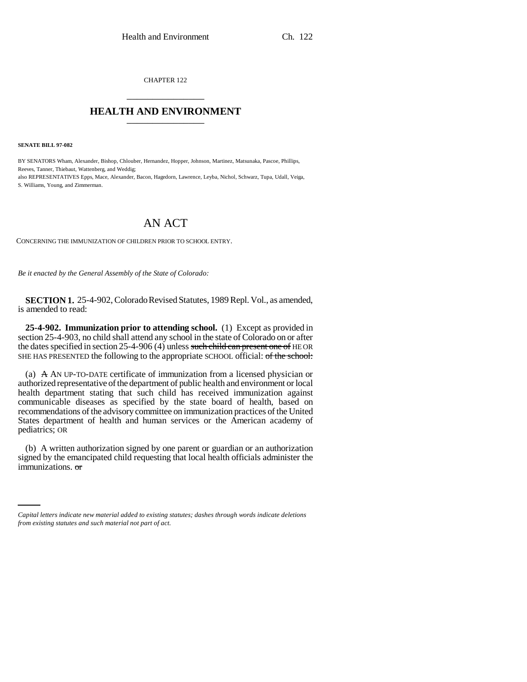CHAPTER 122 \_\_\_\_\_\_\_\_\_\_\_\_\_\_\_

## **HEALTH AND ENVIRONMENT** \_\_\_\_\_\_\_\_\_\_\_\_\_\_\_

**SENATE BILL 97-082**

BY SENATORS Wham, Alexander, Bishop, Chlouber, Hernandez, Hopper, Johnson, Martinez, Matsunaka, Pascoe, Phillips, Reeves, Tanner, Thiebaut, Wattenberg, and Weddig; also REPRESENTATIVES Epps, Mace, Alexander, Bacon, Hagedorn, Lawrence, Leyba, Nichol, Schwarz, Tupa, Udall, Veiga, S. Williams, Young, and Zimmerman.

## AN ACT

CONCERNING THE IMMUNIZATION OF CHILDREN PRIOR TO SCHOOL ENTRY.

*Be it enacted by the General Assembly of the State of Colorado:*

**SECTION 1.** 25-4-902, Colorado Revised Statutes, 1989 Repl. Vol., as amended, is amended to read:

**25-4-902. Immunization prior to attending school.** (1) Except as provided in section 25-4-903, no child shall attend any school in the state of Colorado on or after the dates specified in section 25-4-906 (4) unless such child can present one of HE OR SHE HAS PRESENTED the following to the appropriate SCHOOL official: of the school:

(a)  $\overrightarrow{A}$  AN UP-TO-DATE certificate of immunization from a licensed physician or authorized representative of the department of public health and environment or local health department stating that such child has received immunization against communicable diseases as specified by the state board of health, based on recommendations of the advisory committee on immunization practices of the United States department of health and human services or the American academy of pediatrics; OR

signed by the emancipated child requesting that local health officials administer the (b) A written authorization signed by one parent or guardian or an authorization immunizations. or

*Capital letters indicate new material added to existing statutes; dashes through words indicate deletions from existing statutes and such material not part of act.*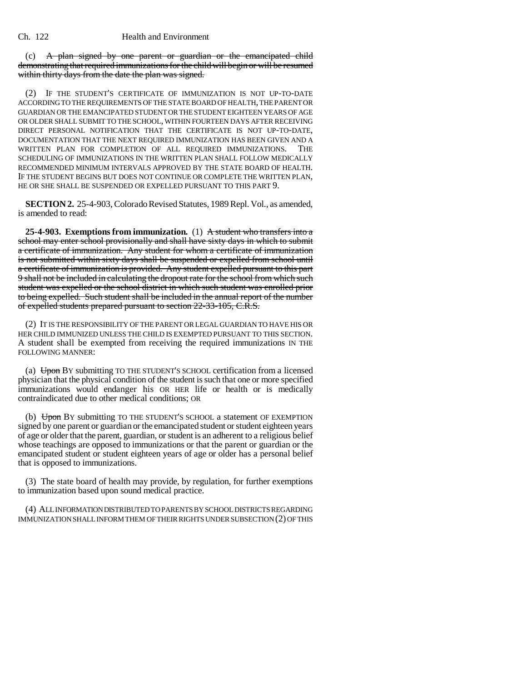(c) A plan signed by one parent or guardian or the emancipated child demonstrating that required immunizations for the child will begin or will be resumed within thirty days from the date the plan was signed.

(2) IF THE STUDENT'S CERTIFICATE OF IMMUNIZATION IS NOT UP-TO-DATE ACCORDING TO THE REQUIREMENTS OF THE STATE BOARD OF HEALTH, THE PARENT OR GUARDIAN OR THE EMANCIPATED STUDENT OR THE STUDENT EIGHTEEN YEARS OF AGE OR OLDER SHALL SUBMIT TO THE SCHOOL, WITHIN FOURTEEN DAYS AFTER RECEIVING DIRECT PERSONAL NOTIFICATION THAT THE CERTIFICATE IS NOT UP-TO-DATE, DOCUMENTATION THAT THE NEXT REQUIRED IMMUNIZATION HAS BEEN GIVEN AND A WRITTEN PLAN FOR COMPLETION OF ALL REQUIRED IMMUNIZATIONS. THE SCHEDULING OF IMMUNIZATIONS IN THE WRITTEN PLAN SHALL FOLLOW MEDICALLY RECOMMENDED MINIMUM INTERVALS APPROVED BY THE STATE BOARD OF HEALTH. IF THE STUDENT BEGINS BUT DOES NOT CONTINUE OR COMPLETE THE WRITTEN PLAN, HE OR SHE SHALL BE SUSPENDED OR EXPELLED PURSUANT TO THIS PART 9.

**SECTION 2.** 25-4-903, Colorado Revised Statutes, 1989 Repl. Vol., as amended, is amended to read:

**25-4-903. Exemptions from immunization.** (1) A student who transfers into a school may enter school provisionally and shall have sixty days in which to submit a certificate of immunization. Any student for whom a certificate of immunization is not submitted within sixty days shall be suspended or expelled from school until a certificate of immunization is provided. Any student expelled pursuant to this part 9 shall not be included in calculating the dropout rate for the school from which such student was expelled or the school district in which such student was enrolled prior to being expelled. Such student shall be included in the annual report of the number of expelled students prepared pursuant to section 22-33-105, C.R.S.

(2) IT IS THE RESPONSIBILITY OF THE PARENT OR LEGAL GUARDIAN TO HAVE HIS OR HER CHILD IMMUNIZED UNLESS THE CHILD IS EXEMPTED PURSUANT TO THIS SECTION. A student shall be exempted from receiving the required immunizations IN THE FOLLOWING MANNER:

(a)  $\overline{Up}$  BY submitting TO THE STUDENT'S SCHOOL certification from a licensed physician that the physical condition of the student is such that one or more specified immunizations would endanger his OR HER life or health or is medically contraindicated due to other medical conditions; OR

(b) Upon BY submitting TO THE STUDENT'S SCHOOL a statement OF EXEMPTION signed by one parent or guardian or the emancipated student or student eighteen years of age or older that the parent, guardian, or student is an adherent to a religious belief whose teachings are opposed to immunizations or that the parent or guardian or the emancipated student or student eighteen years of age or older has a personal belief that is opposed to immunizations.

(3) The state board of health may provide, by regulation, for further exemptions to immunization based upon sound medical practice.

(4) ALL INFORMATION DISTRIBUTED TO PARENTS BY SCHOOL DISTRICTS REGARDING IMMUNIZATION SHALL INFORM THEM OF THEIR RIGHTS UNDER SUBSECTION (2) OF THIS